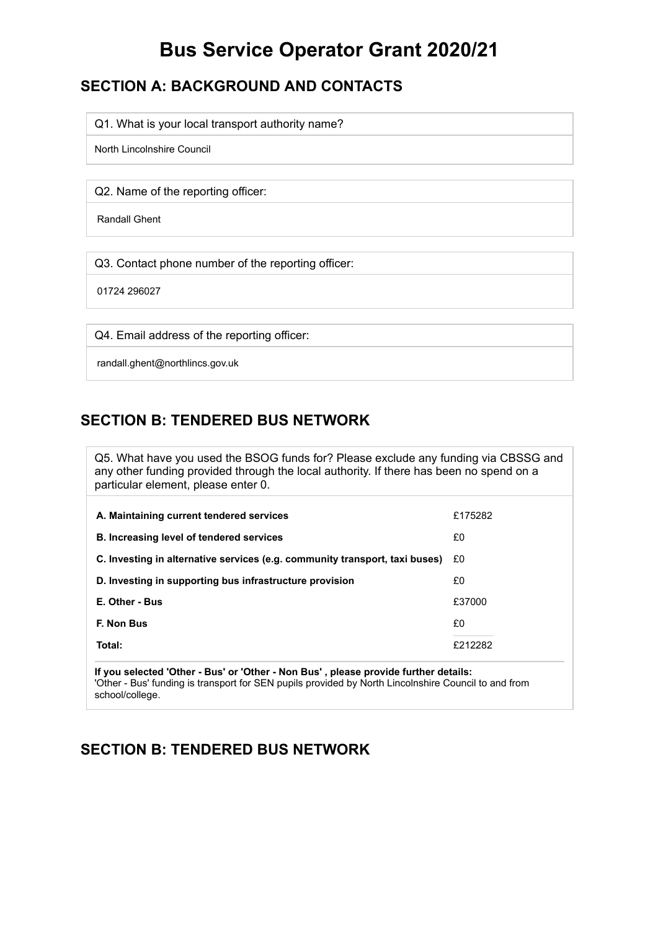# **Bus Service Operator Grant 2020/21**

## **SECTION A: BACKGROUND AND CONTACTS**

Q1. What is your local transport authority name?

North Lincolnshire Council

Q2. Name of the reporting officer:

Randall Ghent

Q3. Contact phone number of the reporting officer:

01724 296027

Q4. Email address of the reporting officer:

randall.ghent@northlincs.gov.uk

## **SECTION B: TENDERED BUS NETWORK**

Q5. What have you used the BSOG funds for? Please exclude any funding via CBSSG and any other funding provided through the local authority. If there has been no spend on a particular element, please enter 0.

| A. Maintaining current tendered services                                    | £175282 |
|-----------------------------------------------------------------------------|---------|
| <b>B. Increasing level of tendered services</b>                             | £0      |
| C. Investing in alternative services (e.g. community transport, taxi buses) | £0      |
| D. Investing in supporting bus infrastructure provision                     | £0      |
| E. Other - Bus                                                              | £37000  |
| F. Non Bus                                                                  | £0      |
| Total:                                                                      | £212282 |

**If you selected 'Other - Bus' or 'Other - Non Bus' , please provide further details:** 'Other - Bus' funding is transport for SEN pupils provided by North Lincolnshire Council to and from school/college.

### **SECTION B: TENDERED BUS NETWORK**